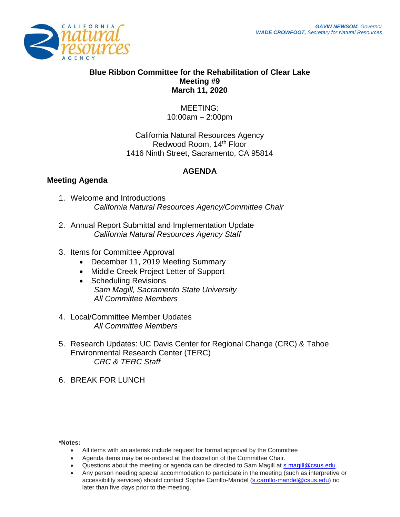

## **Blue Ribbon Committee for the Rehabilitation of Clear Lake Meeting #9 March 11, 2020**

MEETING: 10:00am – 2:00pm

California Natural Resources Agency Redwood Room, 14<sup>th</sup> Floor 1416 Ninth Street, Sacramento, CA 95814

## **AGENDA**

## **Meeting Agenda**

- 1. Welcome and Introductions *California Natural Resources Agency/Committee Chair*
- 2. Annual Report Submittal and Implementation Update *California Natural Resources Agency Staff*
- 3. Items for Committee Approval
	- December 11, 2019 Meeting Summary
	- Middle Creek Project Letter of Support
	- Scheduling Revisions *Sam Magill, Sacramento State University All Committee Members*
- 4. Local/Committee Member Updates *All Committee Members*
- 5. Research Updates: UC Davis Center for Regional Change (CRC) & Tahoe Environmental Research Center (TERC) *CRC & TERC Staff*
- 6. BREAK FOR LUNCH

## **\*Notes:**

- All items with an asterisk include request for formal approval by the Committee
- Agenda items may be re-ordered at the discretion of the Committee Chair.
- Questions about the meeting or agenda can be directed to Sam Magill at [s.magill@csus.edu.](mailto:s.magill@csus.edu)
- Any person needing special accommodation to participate in the meeting (such as interpretive or accessibility services) should contact Sophie Carrillo-Mandel [\(s.carrillo-mandel@csus.edu\)](mailto:s.carrillo-mandel@csus.edu) no later than five days prior to the meeting.